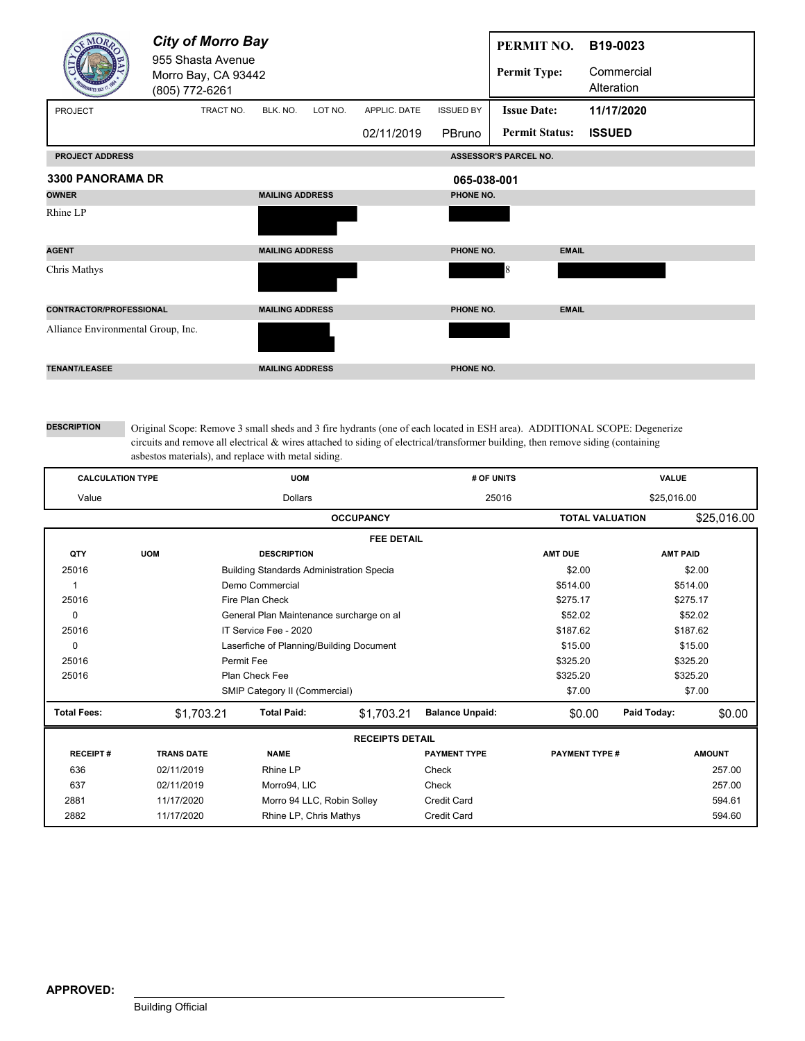|                                    | <b>City of Morro Bay</b><br>955 Shasta Avenue<br>Morro Bay, CA 93442<br>(805) 772-6261 |                        |         |              |                  | PERMIT NO.<br><b>Permit Type:</b> | B19-0023<br>Commercial<br>Alteration |  |
|------------------------------------|----------------------------------------------------------------------------------------|------------------------|---------|--------------|------------------|-----------------------------------|--------------------------------------|--|
| PROJECT                            | TRACT NO.                                                                              | BLK. NO.               | LOT NO. | APPLIC. DATE | <b>ISSUED BY</b> | <b>Issue Date:</b>                | 11/17/2020                           |  |
|                                    |                                                                                        |                        |         | 02/11/2019   | PBruno           | <b>Permit Status:</b>             | <b>ISSUED</b>                        |  |
| <b>PROJECT ADDRESS</b>             |                                                                                        |                        |         |              |                  | <b>ASSESSOR'S PARCEL NO.</b>      |                                      |  |
| 3300 PANORAMA DR                   |                                                                                        |                        |         |              | 065-038-001      |                                   |                                      |  |
| <b>OWNER</b>                       |                                                                                        | <b>MAILING ADDRESS</b> |         |              | PHONE NO.        |                                   |                                      |  |
| Rhine LP                           |                                                                                        |                        |         |              |                  |                                   |                                      |  |
| <b>AGENT</b>                       |                                                                                        | <b>MAILING ADDRESS</b> |         |              | PHONE NO.        |                                   | <b>EMAIL</b>                         |  |
| Chris Mathys                       |                                                                                        |                        |         |              |                  | 8                                 |                                      |  |
| <b>CONTRACTOR/PROFESSIONAL</b>     |                                                                                        | <b>MAILING ADDRESS</b> |         |              | PHONE NO.        |                                   | <b>EMAIL</b>                         |  |
| Alliance Environmental Group, Inc. |                                                                                        |                        |         |              |                  |                                   |                                      |  |
| <b>TENANT/LEASEE</b>               |                                                                                        | <b>MAILING ADDRESS</b> |         |              | PHONE NO.        |                                   |                                      |  |

| <b>CALCULATION TYPE</b> |                   | <b>UOM</b>                                      |                        | # OF UNITS             | VALUE          |                                        |                 |  |  |  |  |
|-------------------------|-------------------|-------------------------------------------------|------------------------|------------------------|----------------|----------------------------------------|-----------------|--|--|--|--|
| Value                   |                   | <b>Dollars</b>                                  |                        | \$25,016.00            |                |                                        |                 |  |  |  |  |
|                         |                   |                                                 | <b>OCCUPANCY</b>       | <b>TOTAL VALUATION</b> |                | \$25,016.00                            |                 |  |  |  |  |
|                         | <b>FEE DETAIL</b> |                                                 |                        |                        |                |                                        |                 |  |  |  |  |
| QTY                     | <b>UOM</b>        | <b>DESCRIPTION</b>                              |                        |                        | <b>AMT DUE</b> |                                        | <b>AMT PAID</b> |  |  |  |  |
| 25016                   |                   | <b>Building Standards Administration Specia</b> |                        |                        | \$2.00         |                                        | \$2.00          |  |  |  |  |
| 1                       |                   | Demo Commercial                                 |                        |                        | \$514.00       |                                        | \$514.00        |  |  |  |  |
| 25016                   |                   | Fire Plan Check                                 |                        | \$275.17<br>\$275.17   |                |                                        |                 |  |  |  |  |
| 0                       |                   | General Plan Maintenance surcharge on al        |                        | \$52.02                | \$52.02        |                                        |                 |  |  |  |  |
| 25016                   |                   | IT Service Fee - 2020                           | \$187.62               | \$187.62               |                |                                        |                 |  |  |  |  |
| $\mathbf 0$             |                   | Laserfiche of Planning/Building Document        | \$15.00                | \$15.00                |                |                                        |                 |  |  |  |  |
| 25016                   |                   | Permit Fee                                      |                        | \$325.20               | \$325.20       |                                        |                 |  |  |  |  |
| 25016                   |                   | Plan Check Fee                                  |                        | \$325.20<br>\$325.20   |                |                                        |                 |  |  |  |  |
|                         |                   | SMIP Category II (Commercial)                   |                        |                        | \$7.00         |                                        | \$7.00          |  |  |  |  |
| <b>Total Fees:</b>      | \$1,703.21        | <b>Total Paid:</b>                              | \$1,703.21             | <b>Balance Unpaid:</b> | \$0.00         | Paid Today:                            | \$0.00          |  |  |  |  |
|                         |                   |                                                 | <b>RECEIPTS DETAIL</b> |                        |                |                                        |                 |  |  |  |  |
| <b>RECEIPT#</b>         | <b>TRANS DATE</b> | <b>NAME</b><br><b>PAYMENT TYPE</b>              |                        |                        |                | <b>PAYMENT TYPE #</b><br><b>AMOUNT</b> |                 |  |  |  |  |
| 636                     | 02/11/2019        | Rhine LP                                        |                        | Check                  |                |                                        | 257.00          |  |  |  |  |
| 637                     | 02/11/2019        | Morro94, LIC                                    |                        | Check                  |                |                                        | 257.00          |  |  |  |  |
| 2881                    | 11/17/2020        | Morro 94 LLC, Robin Solley                      |                        | <b>Credit Card</b>     |                |                                        | 594.61          |  |  |  |  |
| 2882                    | 11/17/2020        | Rhine LP, Chris Mathys                          |                        | <b>Credit Card</b>     |                |                                        | 594.60          |  |  |  |  |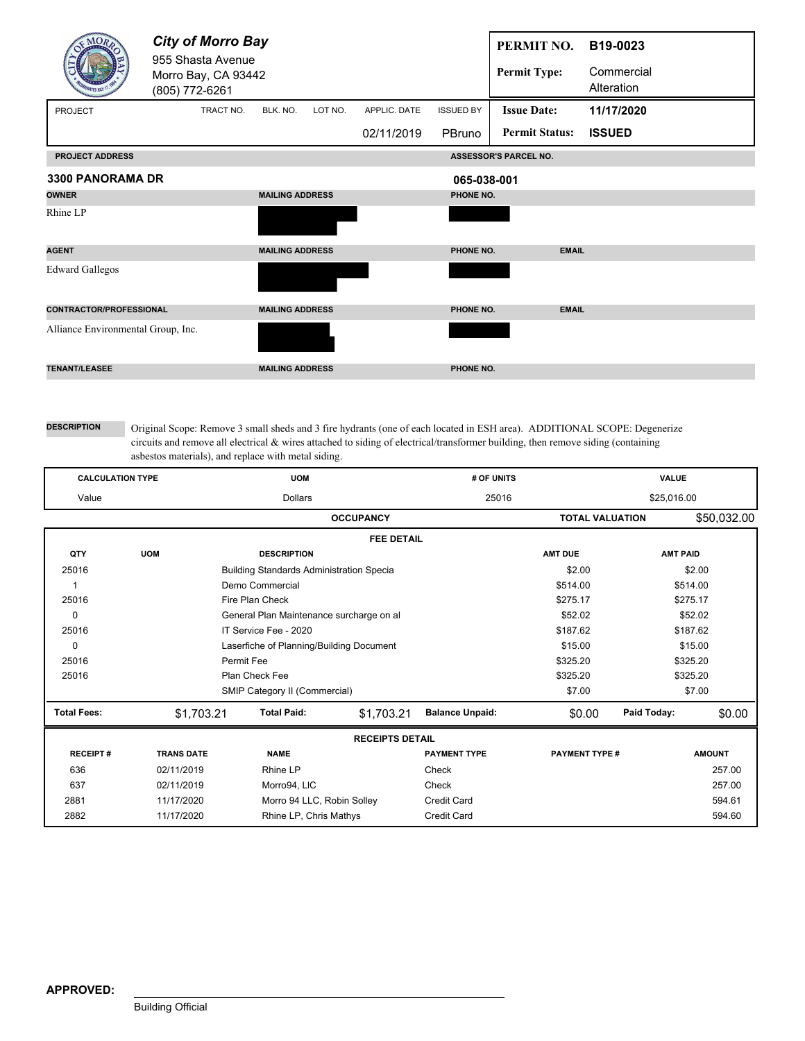|                                    | <b>City of Morro Bay</b><br>955 Shasta Avenue<br>Morro Bay, CA 93442<br>(805) 772-6261 |                        |         |              |                  | PERMIT NO.<br><b>Permit Type:</b> | B19-0023<br>Commercial<br>Alteration |
|------------------------------------|----------------------------------------------------------------------------------------|------------------------|---------|--------------|------------------|-----------------------------------|--------------------------------------|
| PROJECT                            | TRACT NO.                                                                              | BLK. NO.               | LOT NO. | APPLIC. DATE | <b>ISSUED BY</b> | <b>Issue Date:</b>                | 11/17/2020                           |
|                                    |                                                                                        |                        |         | 02/11/2019   | PBruno           | <b>Permit Status:</b>             | <b>ISSUED</b>                        |
| <b>PROJECT ADDRESS</b>             |                                                                                        |                        |         |              |                  | ASSESSOR'S PARCEL NO.             |                                      |
| <b>3300 PANORAMA DR</b>            |                                                                                        |                        |         |              | 065-038-001      |                                   |                                      |
| <b>OWNER</b>                       |                                                                                        | <b>MAILING ADDRESS</b> |         |              | PHONE NO.        |                                   |                                      |
| Rhine LP                           |                                                                                        |                        |         |              |                  |                                   |                                      |
| <b>AGENT</b>                       |                                                                                        | <b>MAILING ADDRESS</b> |         |              | PHONE NO.        | <b>EMAIL</b>                      |                                      |
| <b>Edward Gallegos</b>             |                                                                                        |                        |         |              |                  |                                   |                                      |
| CONTRACTOR/PROFESSIONAL            |                                                                                        | <b>MAILING ADDRESS</b> |         |              | PHONE NO.        | <b>EMAIL</b>                      |                                      |
| Alliance Environmental Group, Inc. |                                                                                        |                        |         |              |                  |                                   |                                      |
| <b>TENANT/LEASEE</b>               |                                                                                        | <b>MAILING ADDRESS</b> |         |              | PHONE NO.        |                                   |                                      |

| <b>CALCULATION TYPE</b> |                   | <b>UOM</b>                                      |                        | # OF UNITS             | <b>VALUE</b>    |                                        |          |  |  |  |  |
|-------------------------|-------------------|-------------------------------------------------|------------------------|------------------------|-----------------|----------------------------------------|----------|--|--|--|--|
| Value                   |                   | <b>Dollars</b>                                  |                        | 25016                  | \$25,016.00     |                                        |          |  |  |  |  |
|                         |                   | <b>OCCUPANCY</b>                                | <b>TOTAL VALUATION</b> | \$50,032.00            |                 |                                        |          |  |  |  |  |
|                         | <b>FEE DETAIL</b> |                                                 |                        |                        |                 |                                        |          |  |  |  |  |
| QTY                     | <b>UOM</b>        | <b>DESCRIPTION</b>                              |                        | <b>AMT DUE</b>         | <b>AMT PAID</b> |                                        |          |  |  |  |  |
| 25016                   |                   | <b>Building Standards Administration Specia</b> |                        |                        | \$2.00          |                                        | \$2.00   |  |  |  |  |
| 1                       |                   | Demo Commercial                                 |                        |                        | \$514.00        |                                        | \$514.00 |  |  |  |  |
| 25016                   |                   | Fire Plan Check                                 |                        | \$275.17               |                 | \$275.17                               |          |  |  |  |  |
| 0                       |                   | General Plan Maintenance surcharge on al        |                        | \$52.02                | \$52.02         |                                        |          |  |  |  |  |
| 25016                   |                   | IT Service Fee - 2020                           | \$187.62               | \$187.62               |                 |                                        |          |  |  |  |  |
| 0                       |                   | Laserfiche of Planning/Building Document        |                        | \$15.00                | \$15.00         |                                        |          |  |  |  |  |
| 25016                   |                   | Permit Fee                                      |                        | \$325.20               | \$325.20        |                                        |          |  |  |  |  |
| 25016                   |                   | Plan Check Fee                                  |                        | \$325.20<br>\$325.20   |                 |                                        |          |  |  |  |  |
|                         |                   | SMIP Category II (Commercial)                   |                        |                        | \$7.00          |                                        | \$7.00   |  |  |  |  |
| <b>Total Fees:</b>      | \$1,703.21        | <b>Total Paid:</b>                              | \$1,703.21             | <b>Balance Unpaid:</b> | \$0.00          | Paid Today:                            | \$0.00   |  |  |  |  |
|                         |                   |                                                 | <b>RECEIPTS DETAIL</b> |                        |                 |                                        |          |  |  |  |  |
| <b>RECEIPT#</b>         | <b>TRANS DATE</b> | <b>NAME</b>                                     |                        | <b>PAYMENT TYPE</b>    |                 | <b>PAYMENT TYPE #</b><br><b>AMOUNT</b> |          |  |  |  |  |
| 636                     | 02/11/2019        | Rhine LP                                        |                        | Check                  |                 |                                        | 257.00   |  |  |  |  |
| 637                     | 02/11/2019        | Morro94, LIC                                    |                        | Check                  |                 |                                        | 257.00   |  |  |  |  |
| 2881                    | 11/17/2020        | Morro 94 LLC, Robin Solley                      |                        | <b>Credit Card</b>     |                 |                                        | 594.61   |  |  |  |  |
| 2882                    | 11/17/2020        | Rhine LP, Chris Mathys                          |                        | <b>Credit Card</b>     |                 |                                        | 594.60   |  |  |  |  |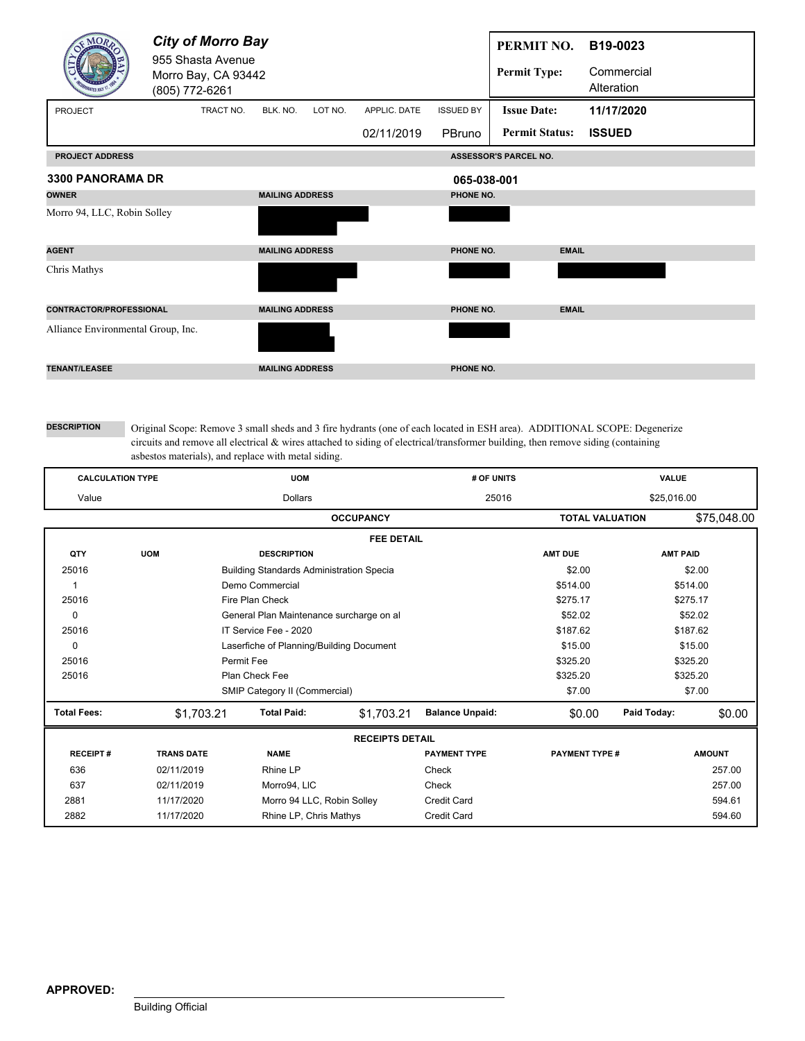|                                    | <b>City of Morro Bay</b><br>955 Shasta Avenue<br>Morro Bay, CA 93442<br>(805) 772-6261 |                        |         |              |                  | PERMIT NO.<br><b>Permit Type:</b> | B19-0023<br>Commercial<br>Alteration |  |
|------------------------------------|----------------------------------------------------------------------------------------|------------------------|---------|--------------|------------------|-----------------------------------|--------------------------------------|--|
| PROJECT                            | TRACT NO.                                                                              | BLK. NO.               | LOT NO. | APPLIC. DATE | <b>ISSUED BY</b> | <b>Issue Date:</b>                | 11/17/2020                           |  |
|                                    |                                                                                        |                        |         | 02/11/2019   | PBruno           | <b>Permit Status:</b>             | <b>ISSUED</b>                        |  |
| <b>PROJECT ADDRESS</b>             |                                                                                        |                        |         |              |                  | ASSESSOR'S PARCEL NO.             |                                      |  |
| <b>3300 PANORAMA DR</b>            |                                                                                        | 065-038-001            |         |              |                  |                                   |                                      |  |
| <b>OWNER</b>                       |                                                                                        | <b>MAILING ADDRESS</b> |         |              | PHONE NO.        |                                   |                                      |  |
| Morro 94, LLC, Robin Solley        |                                                                                        |                        |         |              |                  |                                   |                                      |  |
| <b>AGENT</b>                       |                                                                                        | <b>MAILING ADDRESS</b> |         |              | PHONE NO.        | <b>EMAIL</b>                      |                                      |  |
| Chris Mathys                       |                                                                                        |                        |         |              |                  |                                   |                                      |  |
| <b>CONTRACTOR/PROFESSIONAL</b>     |                                                                                        | <b>MAILING ADDRESS</b> |         |              | PHONE NO.        | <b>EMAIL</b>                      |                                      |  |
| Alliance Environmental Group, Inc. |                                                                                        |                        |         |              |                  |                                   |                                      |  |
| <b>TENANT/LEASEE</b>               |                                                                                        | <b>MAILING ADDRESS</b> |         |              | PHONE NO.        |                                   |                                      |  |

| <b>CALCULATION TYPE</b> |                   | <b>UOM</b>                                      |            | # OF UNITS                            | VALUE                 |                 |               |  |  |  |  |
|-------------------------|-------------------|-------------------------------------------------|------------|---------------------------------------|-----------------------|-----------------|---------------|--|--|--|--|
| Value                   |                   | <b>Dollars</b>                                  |            | 25016                                 | \$25,016.00           |                 |               |  |  |  |  |
|                         |                   | <b>OCCUPANCY</b>                                |            | \$75,048.00<br><b>TOTAL VALUATION</b> |                       |                 |               |  |  |  |  |
|                         | <b>FEE DETAIL</b> |                                                 |            |                                       |                       |                 |               |  |  |  |  |
| QTY                     | <b>UOM</b>        | <b>DESCRIPTION</b>                              |            |                                       | <b>AMT DUE</b>        | <b>AMT PAID</b> |               |  |  |  |  |
| 25016                   |                   | <b>Building Standards Administration Specia</b> |            |                                       | \$2.00                |                 | \$2.00        |  |  |  |  |
| 1                       |                   | Demo Commercial                                 |            |                                       | \$514.00              |                 | \$514.00      |  |  |  |  |
| 25016                   |                   | Fire Plan Check                                 |            |                                       | \$275.17              | \$275.17        |               |  |  |  |  |
| $\mathbf 0$             |                   | General Plan Maintenance surcharge on al        | \$52.02    | \$52.02                               |                       |                 |               |  |  |  |  |
| 25016                   |                   | IT Service Fee - 2020                           | \$187.62   | \$187.62                              |                       |                 |               |  |  |  |  |
| 0                       |                   | Laserfiche of Planning/Building Document        | \$15.00    | \$15.00                               |                       |                 |               |  |  |  |  |
| 25016                   |                   | Permit Fee                                      |            | \$325.20                              | \$325.20              |                 |               |  |  |  |  |
| 25016                   |                   | Plan Check Fee                                  |            | \$325.20                              |                       | \$325.20        |               |  |  |  |  |
|                         |                   | SMIP Category II (Commercial)                   |            |                                       | \$7.00                |                 | \$7.00        |  |  |  |  |
| <b>Total Fees:</b>      | \$1,703.21        | <b>Total Paid:</b>                              | \$1,703.21 | <b>Balance Unpaid:</b>                | \$0.00                | Paid Today:     | \$0.00        |  |  |  |  |
| <b>RECEIPTS DETAIL</b>  |                   |                                                 |            |                                       |                       |                 |               |  |  |  |  |
| <b>RECEIPT#</b>         | <b>TRANS DATE</b> | <b>NAME</b>                                     |            | <b>PAYMENT TYPE</b>                   | <b>PAYMENT TYPE #</b> |                 | <b>AMOUNT</b> |  |  |  |  |
| 636                     | 02/11/2019        | <b>Rhine LP</b>                                 |            | Check                                 |                       |                 | 257.00        |  |  |  |  |
| 637                     | 02/11/2019        | Morro94, LIC                                    |            | Check                                 |                       |                 | 257.00        |  |  |  |  |
| 2881                    | 11/17/2020        | Morro 94 LLC, Robin Solley                      |            | <b>Credit Card</b>                    |                       |                 | 594.61        |  |  |  |  |
| 2882                    | 11/17/2020        | Rhine LP, Chris Mathys                          |            | <b>Credit Card</b>                    |                       |                 | 594.60        |  |  |  |  |